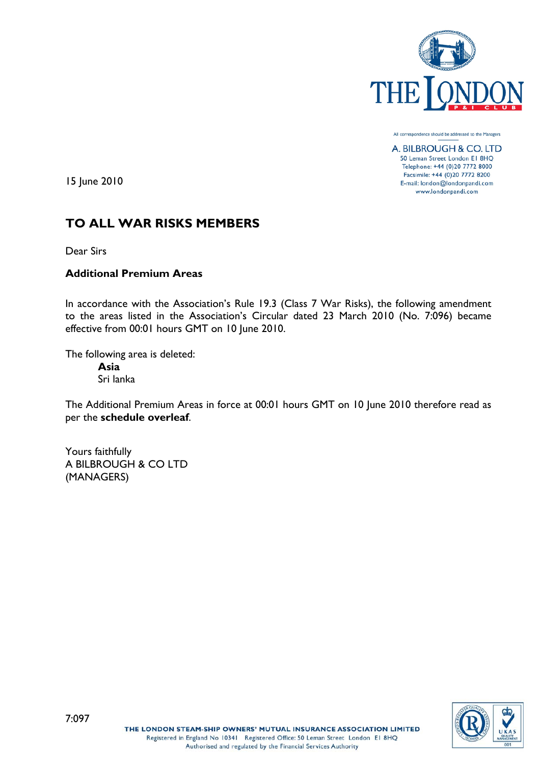

All correspondence should be addressed to the Managers

A. BILBROUGH & CO. LTD 50 Leman Street London El 8HQ Telephone: +44 (0)20 7772 8000 Facsimile: +44 (0)20 7772 8200 E-mail: london@londonpandi.com www.londonpandi.com

15 June 2010

# **TO ALL WAR RISKS MEMBERS**

Dear Sirs

# **Additional Premium Areas**

In accordance with the Association's Rule 19.3 (Class 7 War Risks), the following amendment to the areas listed in the Association's Circular dated 23 March 2010 (No. 7:096) became effective from 00:01 hours GMT on 10 June 2010.

The following area is deleted: **Asia**

Sri lanka

The Additional Premium Areas in force at 00:01 hours GMT on 10 June 2010 therefore read as per the **schedule overleaf**.

Yours faithfully A BILBROUGH & CO LTD (MANAGERS)